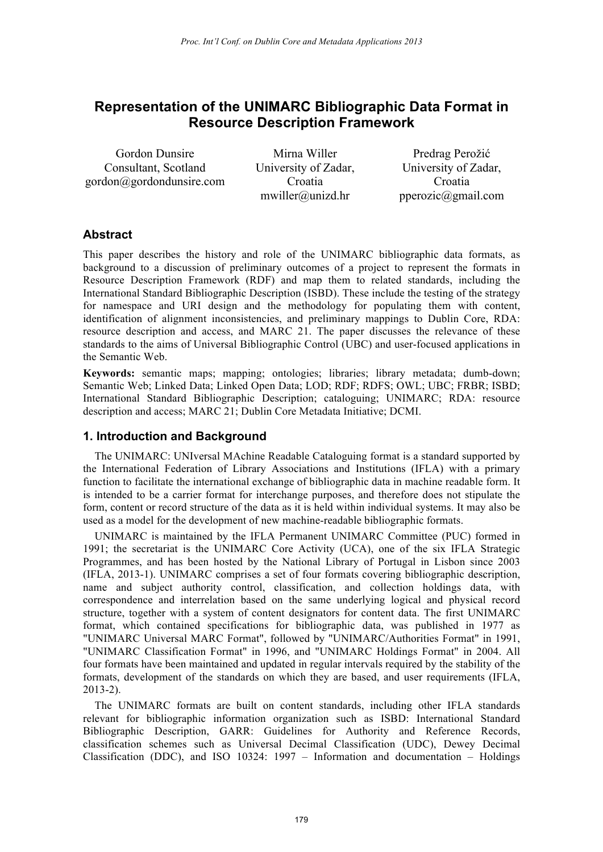# **Representation of the UNIMARC Bibliographic Data Format in Resource Description Framework**

Gordon Dunsire Consultant, Scotland gordon@gordondunsire.com

Mirna Willer University of Zadar, Croatia mwiller@unizd.hr

Predrag Perožić University of Zadar, Croatia pperozic@gmail.com

## **Abstract**

This paper describes the history and role of the UNIMARC bibliographic data formats, as background to a discussion of preliminary outcomes of a project to represent the formats in Resource Description Framework (RDF) and map them to related standards, including the International Standard Bibliographic Description (ISBD). These include the testing of the strategy for namespace and URI design and the methodology for populating them with content, identification of alignment inconsistencies, and preliminary mappings to Dublin Core, RDA: resource description and access, and MARC 21. The paper discusses the relevance of these standards to the aims of Universal Bibliographic Control (UBC) and user-focused applications in the Semantic Web.

**Keywords:** semantic maps; mapping; ontologies; libraries; library metadata; dumb-down; Semantic Web; Linked Data; Linked Open Data; LOD; RDF; RDFS; OWL; UBC; FRBR; ISBD; International Standard Bibliographic Description; cataloguing; UNIMARC; RDA: resource description and access; MARC 21; Dublin Core Metadata Initiative; DCMI.

# **1. Introduction and Background**

The UNIMARC: UNIversal MAchine Readable Cataloguing format is a standard supported by the International Federation of Library Associations and Institutions (IFLA) with a primary function to facilitate the international exchange of bibliographic data in machine readable form. It is intended to be a carrier format for interchange purposes, and therefore does not stipulate the form, content or record structure of the data as it is held within individual systems. It may also be used as a model for the development of new machine-readable bibliographic formats.

UNIMARC is maintained by the IFLA Permanent UNIMARC Committee (PUC) formed in 1991; the secretariat is the UNIMARC Core Activity (UCA), one of the six IFLA Strategic Programmes, and has been hosted by the National Library of Portugal in Lisbon since 2003 (IFLA, 2013-1). UNIMARC comprises a set of four formats covering bibliographic description, name and subject authority control, classification, and collection holdings data, with correspondence and interrelation based on the same underlying logical and physical record structure, together with a system of content designators for content data. The first UNIMARC format, which contained specifications for bibliographic data, was published in 1977 as "UNIMARC Universal MARC Format", followed by "UNIMARC/Authorities Format" in 1991, "UNIMARC Classification Format" in 1996, and "UNIMARC Holdings Format" in 2004. All four formats have been maintained and updated in regular intervals required by the stability of the formats, development of the standards on which they are based, and user requirements (IFLA, 2013-2).

The UNIMARC formats are built on content standards, including other IFLA standards relevant for bibliographic information organization such as ISBD: International Standard Bibliographic Description, GARR: Guidelines for Authority and Reference Records, classification schemes such as Universal Decimal Classification (UDC), Dewey Decimal Classification (DDC), and ISO 10324: 1997 – Information and documentation – Holdings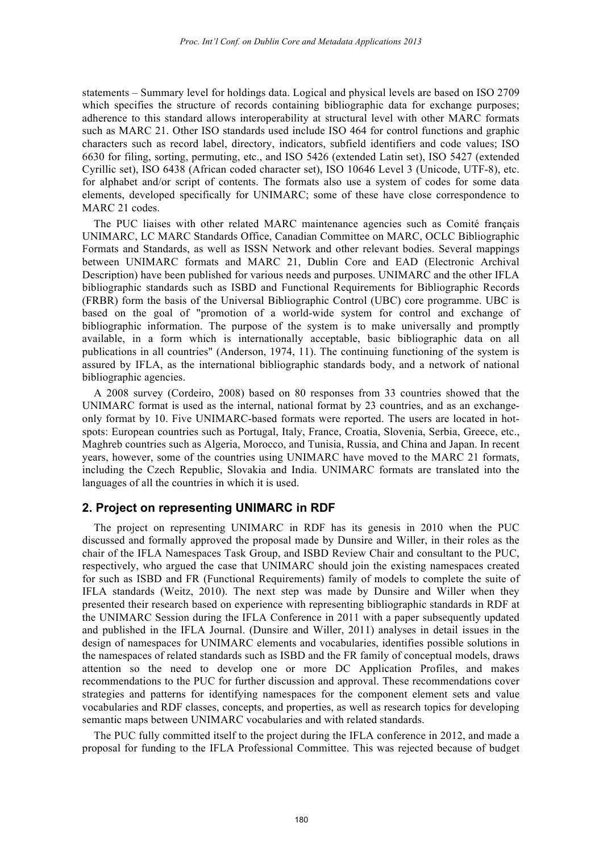statements – Summary level for holdings data. Logical and physical levels are based on ISO 2709 which specifies the structure of records containing bibliographic data for exchange purposes; adherence to this standard allows interoperability at structural level with other MARC formats such as MARC 21. Other ISO standards used include ISO 464 for control functions and graphic characters such as record label, directory, indicators, subfield identifiers and code values; ISO 6630 for filing, sorting, permuting, etc., and ISO 5426 (extended Latin set), ISO 5427 (extended Cyrillic set), ISO 6438 (African coded character set), ISO 10646 Level 3 (Unicode, UTF-8), etc. for alphabet and/or script of contents. The formats also use a system of codes for some data elements, developed specifically for UNIMARC; some of these have close correspondence to MARC 21 codes.

The PUC liaises with other related MARC maintenance agencies such as Comité français UNIMARC, LC MARC Standards Office, Canadian Committee on MARC, OCLC Bibliographic Formats and Standards, as well as ISSN Network and other relevant bodies. Several mappings between UNIMARC formats and MARC 21, Dublin Core and EAD (Electronic Archival Description) have been published for various needs and purposes. UNIMARC and the other IFLA bibliographic standards such as ISBD and Functional Requirements for Bibliographic Records (FRBR) form the basis of the Universal Bibliographic Control (UBC) core programme. UBC is based on the goal of "promotion of a world-wide system for control and exchange of bibliographic information. The purpose of the system is to make universally and promptly available, in a form which is internationally acceptable, basic bibliographic data on all publications in all countries" (Anderson, 1974, 11). The continuing functioning of the system is assured by IFLA, as the international bibliographic standards body, and a network of national bibliographic agencies.

A 2008 survey (Cordeiro, 2008) based on 80 responses from 33 countries showed that the UNIMARC format is used as the internal, national format by 23 countries, and as an exchangeonly format by 10. Five UNIMARC-based formats were reported. The users are located in hotspots: European countries such as Portugal, Italy, France, Croatia, Slovenia, Serbia, Greece, etc., Maghreb countries such as Algeria, Morocco, and Tunisia, Russia, and China and Japan. In recent years, however, some of the countries using UNIMARC have moved to the MARC 21 formats, including the Czech Republic, Slovakia and India. UNIMARC formats are translated into the languages of all the countries in which it is used.

# **2. Project on representing UNIMARC in RDF**

The project on representing UNIMARC in RDF has its genesis in 2010 when the PUC discussed and formally approved the proposal made by Dunsire and Willer, in their roles as the chair of the IFLA Namespaces Task Group, and ISBD Review Chair and consultant to the PUC, respectively, who argued the case that UNIMARC should join the existing namespaces created for such as ISBD and FR (Functional Requirements) family of models to complete the suite of IFLA standards (Weitz, 2010). The next step was made by Dunsire and Willer when they presented their research based on experience with representing bibliographic standards in RDF at the UNIMARC Session during the IFLA Conference in 2011 with a paper subsequently updated and published in the IFLA Journal. (Dunsire and Willer, 2011) analyses in detail issues in the design of namespaces for UNIMARC elements and vocabularies, identifies possible solutions in the namespaces of related standards such as ISBD and the FR family of conceptual models, draws attention so the need to develop one or more DC Application Profiles, and makes recommendations to the PUC for further discussion and approval. These recommendations cover strategies and patterns for identifying namespaces for the component element sets and value vocabularies and RDF classes, concepts, and properties, as well as research topics for developing semantic maps between UNIMARC vocabularies and with related standards.

The PUC fully committed itself to the project during the IFLA conference in 2012, and made a proposal for funding to the IFLA Professional Committee. This was rejected because of budget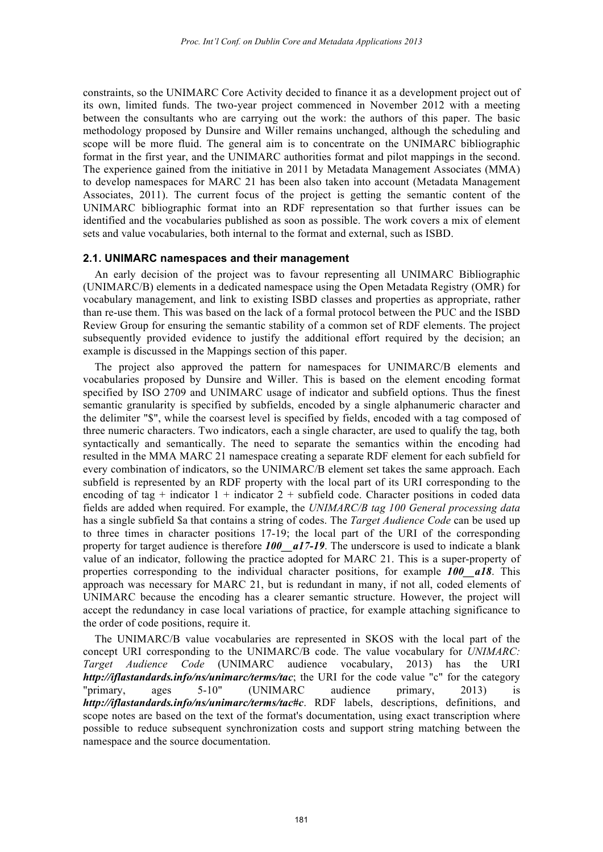constraints, so the UNIMARC Core Activity decided to finance it as a development project out of its own, limited funds. The two-year project commenced in November 2012 with a meeting between the consultants who are carrying out the work: the authors of this paper. The basic methodology proposed by Dunsire and Willer remains unchanged, although the scheduling and scope will be more fluid. The general aim is to concentrate on the UNIMARC bibliographic format in the first year, and the UNIMARC authorities format and pilot mappings in the second. The experience gained from the initiative in 2011 by Metadata Management Associates (MMA) to develop namespaces for MARC 21 has been also taken into account (Metadata Management Associates, 2011). The current focus of the project is getting the semantic content of the UNIMARC bibliographic format into an RDF representation so that further issues can be identified and the vocabularies published as soon as possible. The work covers a mix of element sets and value vocabularies, both internal to the format and external, such as ISBD.

#### **2.1. UNIMARC namespaces and their management**

An early decision of the project was to favour representing all UNIMARC Bibliographic (UNIMARC/B) elements in a dedicated namespace using the Open Metadata Registry (OMR) for vocabulary management, and link to existing ISBD classes and properties as appropriate, rather than re-use them. This was based on the lack of a formal protocol between the PUC and the ISBD Review Group for ensuring the semantic stability of a common set of RDF elements. The project subsequently provided evidence to justify the additional effort required by the decision; an example is discussed in the Mappings section of this paper.

The project also approved the pattern for namespaces for UNIMARC/B elements and vocabularies proposed by Dunsire and Willer. This is based on the element encoding format specified by ISO 2709 and UNIMARC usage of indicator and subfield options. Thus the finest semantic granularity is specified by subfields, encoded by a single alphanumeric character and the delimiter "\$", while the coarsest level is specified by fields, encoded with a tag composed of three numeric characters. Two indicators, each a single character, are used to qualify the tag, both syntactically and semantically. The need to separate the semantics within the encoding had resulted in the MMA MARC 21 namespace creating a separate RDF element for each subfield for every combination of indicators, so the UNIMARC/B element set takes the same approach. Each subfield is represented by an RDF property with the local part of its URI corresponding to the encoding of tag + indicator  $1 +$  indicator  $2 +$  subfield code. Character positions in coded data fields are added when required. For example, the *UNIMARC/B tag 100 General processing data* has a single subfield \$a that contains a string of codes. The *Target Audience Code* can be used up to three times in character positions 17-19; the local part of the URI of the corresponding property for target audience is therefore **100** a17-19. The underscore is used to indicate a blank value of an indicator, following the practice adopted for MARC 21. This is a super-property of properties corresponding to the individual character positions, for example *100\_\_a18*. This approach was necessary for MARC 21, but is redundant in many, if not all, coded elements of UNIMARC because the encoding has a clearer semantic structure. However, the project will accept the redundancy in case local variations of practice, for example attaching significance to the order of code positions, require it.

The UNIMARC/B value vocabularies are represented in SKOS with the local part of the concept URI corresponding to the UNIMARC/B code. The value vocabulary for *UNIMARC: Target Audience Code* (UNIMARC audience vocabulary, 2013) has the URI *http://iflastandards.info/ns/unimarc/terms/tac*; the URI for the code value "c" for the category "primary, ages 5-10" (UNIMARC audience primary, 2013) is *http://iflastandards.info/ns/unimarc/terms/tac#c*. RDF labels, descriptions, definitions, and scope notes are based on the text of the format's documentation, using exact transcription where possible to reduce subsequent synchronization costs and support string matching between the namespace and the source documentation.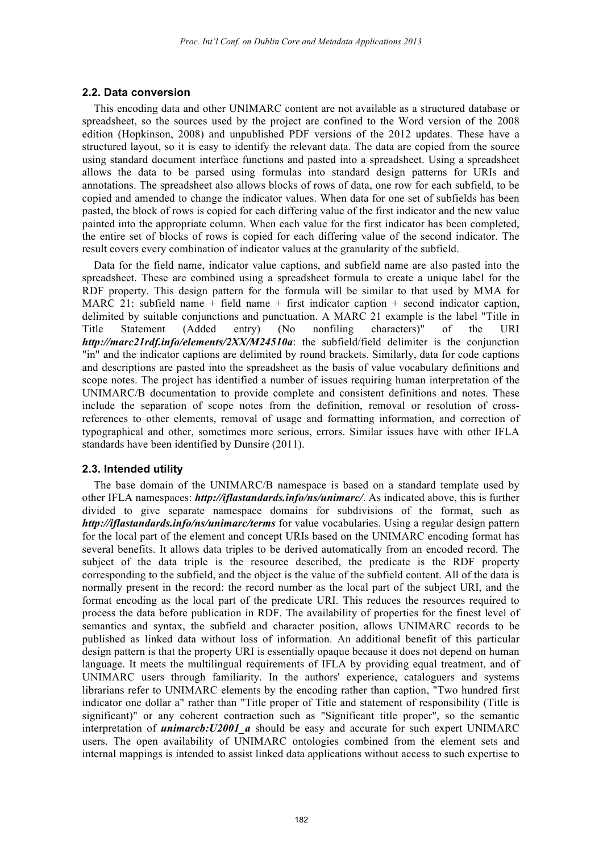#### **2.2. Data conversion**

This encoding data and other UNIMARC content are not available as a structured database or spreadsheet, so the sources used by the project are confined to the Word version of the 2008 edition (Hopkinson, 2008) and unpublished PDF versions of the 2012 updates. These have a structured layout, so it is easy to identify the relevant data. The data are copied from the source using standard document interface functions and pasted into a spreadsheet. Using a spreadsheet allows the data to be parsed using formulas into standard design patterns for URIs and annotations. The spreadsheet also allows blocks of rows of data, one row for each subfield, to be copied and amended to change the indicator values. When data for one set of subfields has been pasted, the block of rows is copied for each differing value of the first indicator and the new value painted into the appropriate column. When each value for the first indicator has been completed, the entire set of blocks of rows is copied for each differing value of the second indicator. The result covers every combination of indicator values at the granularity of the subfield.

Data for the field name, indicator value captions, and subfield name are also pasted into the spreadsheet. These are combined using a spreadsheet formula to create a unique label for the RDF property. This design pattern for the formula will be similar to that used by MMA for MARC 21: subfield name  $+$  field name  $+$  first indicator caption  $+$  second indicator caption, delimited by suitable conjunctions and punctuation. A MARC 21 example is the label "Title in Title Statement (Added entry) (No nonfiling characters)" of the URI *http://marc21rdf.info/elements/2XX/M24510a*: the subfield/field delimiter is the conjunction "in" and the indicator captions are delimited by round brackets. Similarly, data for code captions and descriptions are pasted into the spreadsheet as the basis of value vocabulary definitions and scope notes. The project has identified a number of issues requiring human interpretation of the UNIMARC/B documentation to provide complete and consistent definitions and notes. These include the separation of scope notes from the definition, removal or resolution of crossreferences to other elements, removal of usage and formatting information, and correction of typographical and other, sometimes more serious, errors. Similar issues have with other IFLA standards have been identified by Dunsire (2011).

#### **2.3. Intended utility**

The base domain of the UNIMARC/B namespace is based on a standard template used by other IFLA namespaces: *http://iflastandards.info/ns/unimarc/*. As indicated above, this is further divided to give separate namespace domains for subdivisions of the format, such as *http://iflastandards.info/ns/unimarc/terms* for value vocabularies. Using a regular design pattern for the local part of the element and concept URIs based on the UNIMARC encoding format has several benefits. It allows data triples to be derived automatically from an encoded record. The subject of the data triple is the resource described, the predicate is the RDF property corresponding to the subfield, and the object is the value of the subfield content. All of the data is normally present in the record: the record number as the local part of the subject URI, and the format encoding as the local part of the predicate URI. This reduces the resources required to process the data before publication in RDF. The availability of properties for the finest level of semantics and syntax, the subfield and character position, allows UNIMARC records to be published as linked data without loss of information. An additional benefit of this particular design pattern is that the property URI is essentially opaque because it does not depend on human language. It meets the multilingual requirements of IFLA by providing equal treatment, and of UNIMARC users through familiarity. In the authors' experience, cataloguers and systems librarians refer to UNIMARC elements by the encoding rather than caption, "Two hundred first indicator one dollar a" rather than "Title proper of Title and statement of responsibility (Title is significant)" or any coherent contraction such as "Significant title proper", so the semantic interpretation of *unimarcb:U2001\_a* should be easy and accurate for such expert UNIMARC users. The open availability of UNIMARC ontologies combined from the element sets and internal mappings is intended to assist linked data applications without access to such expertise to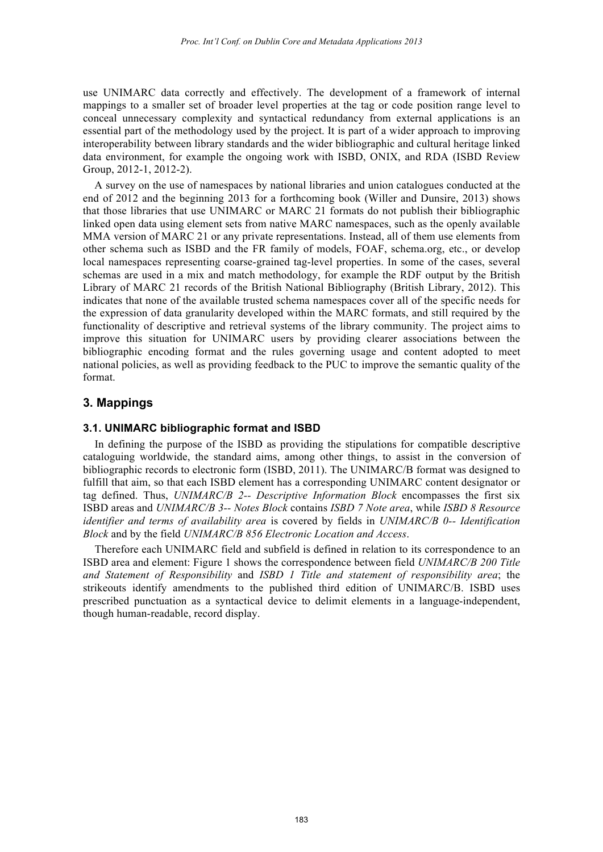use UNIMARC data correctly and effectively. The development of a framework of internal mappings to a smaller set of broader level properties at the tag or code position range level to conceal unnecessary complexity and syntactical redundancy from external applications is an essential part of the methodology used by the project. It is part of a wider approach to improving interoperability between library standards and the wider bibliographic and cultural heritage linked data environment, for example the ongoing work with ISBD, ONIX, and RDA (ISBD Review Group, 2012-1, 2012-2).

A survey on the use of namespaces by national libraries and union catalogues conducted at the end of 2012 and the beginning 2013 for a forthcoming book (Willer and Dunsire, 2013) shows that those libraries that use UNIMARC or MARC 21 formats do not publish their bibliographic linked open data using element sets from native MARC namespaces, such as the openly available MMA version of MARC 21 or any private representations. Instead, all of them use elements from other schema such as ISBD and the FR family of models, FOAF, schema.org, etc., or develop local namespaces representing coarse-grained tag-level properties. In some of the cases, several schemas are used in a mix and match methodology, for example the RDF output by the British Library of MARC 21 records of the British National Bibliography (British Library, 2012). This indicates that none of the available trusted schema namespaces cover all of the specific needs for the expression of data granularity developed within the MARC formats, and still required by the functionality of descriptive and retrieval systems of the library community. The project aims to improve this situation for UNIMARC users by providing clearer associations between the bibliographic encoding format and the rules governing usage and content adopted to meet national policies, as well as providing feedback to the PUC to improve the semantic quality of the format.

## **3. Mappings**

#### **3.1. UNIMARC bibliographic format and ISBD**

In defining the purpose of the ISBD as providing the stipulations for compatible descriptive cataloguing worldwide, the standard aims, among other things, to assist in the conversion of bibliographic records to electronic form (ISBD, 2011). The UNIMARC/B format was designed to fulfill that aim, so that each ISBD element has a corresponding UNIMARC content designator or tag defined. Thus, *UNIMARC/B 2-- Descriptive Information Block* encompasses the first six ISBD areas and *UNIMARC/B 3-- Notes Block* contains *ISBD 7 Note area*, while *ISBD 8 Resource identifier and terms of availability area* is covered by fields in *UNIMARC/B 0-- Identification Block* and by the field *UNIMARC/B 856 Electronic Location and Access*.

Therefore each UNIMARC field and subfield is defined in relation to its correspondence to an ISBD area and element: Figure 1 shows the correspondence between field *UNIMARC/B 200 Title and Statement of Responsibility* and *ISBD 1 Title and statement of responsibility area*; the strikeouts identify amendments to the published third edition of UNIMARC/B. ISBD uses prescribed punctuation as a syntactical device to delimit elements in a language-independent, though human-readable, record display.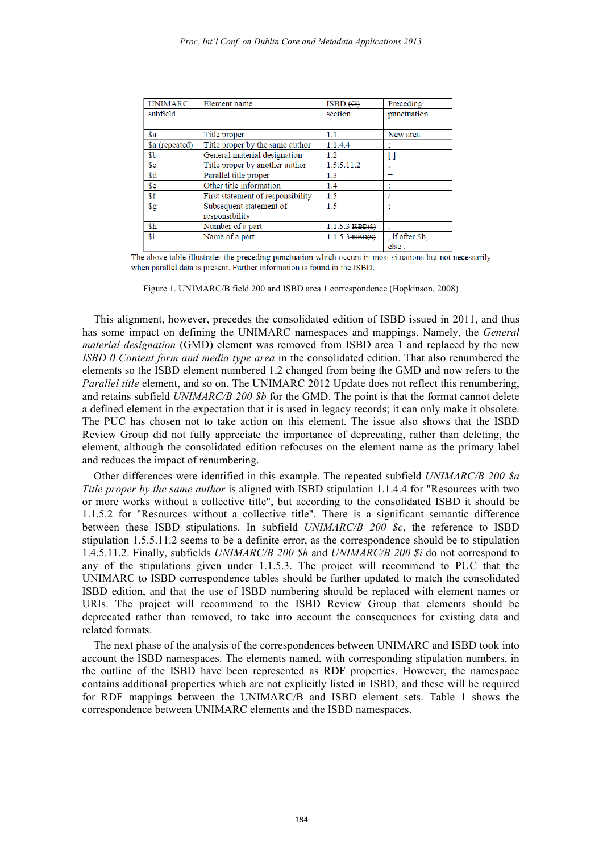| <b>UNIMARC</b>  | Element name                      | ISBN (G)            | Preceding       |
|-----------------|-----------------------------------|---------------------|-----------------|
| subfield        |                                   | section             | punctuation     |
|                 |                                   |                     |                 |
| \$a             | Title proper                      | $1.1\,$             | New area        |
| \$a (repeated)  | Title proper by the same author   | 1.1.4.4             |                 |
| \$ <sub>b</sub> | General material designation      | 1.2                 |                 |
| s <sub>c</sub>  | Title proper by another author    | 1.5.5.11.2          | ٠               |
| \$d             | Parallel title proper             | 1.3                 | $=$             |
| \$e             | Other title information           | 1.4                 |                 |
| \$f             | First statement of responsibility | 1.5                 |                 |
| $\frac{6}{2}$   | Subsequent statement of           | 1.5                 |                 |
|                 | responsibility                    |                     |                 |
| \$h             | Number of a part                  | $1.1.5.3$ $ISBN(S)$ |                 |
| \$i             | Name of a part                    | $1.1.5.3$ ISBD(S)   | . if after \$h. |
|                 |                                   |                     | معام            |

The above table illustrates the preceding punctuation which occurs in most situations but not necessarily when parallel data is present. Further information is found in the ISBD.

Figure 1. UNIMARC/B field 200 and ISBD area 1 correspondence (Hopkinson, 2008)

This alignment, however, precedes the consolidated edition of ISBD issued in 2011, and thus has some impact on defining the UNIMARC namespaces and mappings. Namely, the *General material designation* (GMD) element was removed from ISBD area 1 and replaced by the new *ISBD 0 Content form and media type area* in the consolidated edition. That also renumbered the elements so the ISBD element numbered 1.2 changed from being the GMD and now refers to the *Parallel title* element, and so on. The UNIMARC 2012 Update does not reflect this renumbering, and retains subfield *UNIMARC/B 200 \$b* for the GMD. The point is that the format cannot delete a defined element in the expectation that it is used in legacy records; it can only make it obsolete. The PUC has chosen not to take action on this element. The issue also shows that the ISBD Review Group did not fully appreciate the importance of deprecating, rather than deleting, the element, although the consolidated edition refocuses on the element name as the primary label and reduces the impact of renumbering.

Other differences were identified in this example. The repeated subfield *UNIMARC/B 200 \$a Title proper by the same author* is aligned with ISBD stipulation 1.1.4.4 for "Resources with two or more works without a collective title", but according to the consolidated ISBD it should be 1.1.5.2 for "Resources without a collective title". There is a significant semantic difference between these ISBD stipulations. In subfield *UNIMARC/B 200 \$c*, the reference to ISBD stipulation 1.5.5.11.2 seems to be a definite error, as the correspondence should be to stipulation 1.4.5.11.2. Finally, subfields *UNIMARC/B 200 \$h* and *UNIMARC/B 200 \$i* do not correspond to any of the stipulations given under 1.1.5.3. The project will recommend to PUC that the UNIMARC to ISBD correspondence tables should be further updated to match the consolidated ISBD edition, and that the use of ISBD numbering should be replaced with element names or URIs. The project will recommend to the ISBD Review Group that elements should be deprecated rather than removed, to take into account the consequences for existing data and related formats.

The next phase of the analysis of the correspondences between UNIMARC and ISBD took into account the ISBD namespaces. The elements named, with corresponding stipulation numbers, in the outline of the ISBD have been represented as RDF properties. However, the namespace contains additional properties which are not explicitly listed in ISBD, and these will be required for RDF mappings between the UNIMARC/B and ISBD element sets. Table 1 shows the correspondence between UNIMARC elements and the ISBD namespaces.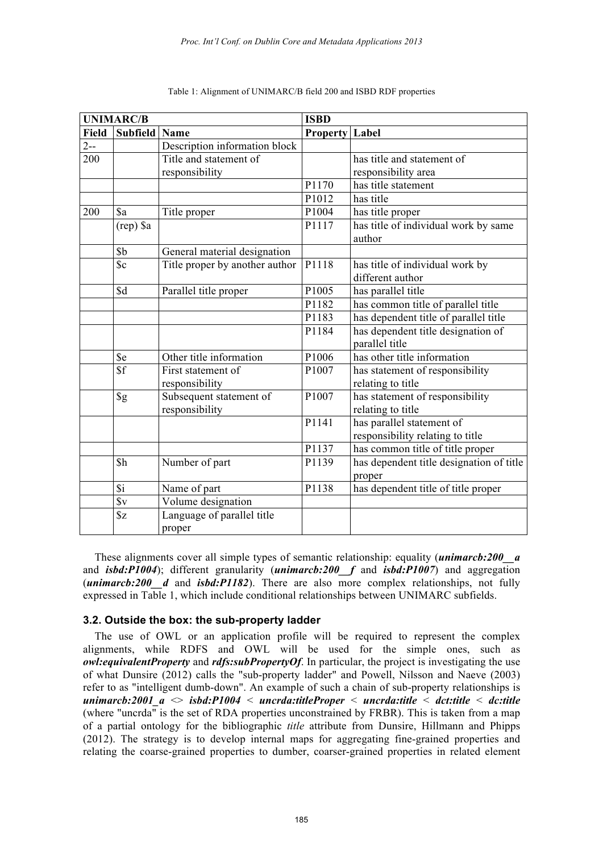| <b>UNIMARC/B</b> |                  |                                | <b>ISBD</b>           |                                          |  |
|------------------|------------------|--------------------------------|-----------------------|------------------------------------------|--|
| <b>Field</b>     | Subfield Name    |                                | <b>Property Label</b> |                                          |  |
| $2 - -$          |                  | Description information block  |                       |                                          |  |
| 200              |                  | Title and statement of         |                       | has title and statement of               |  |
|                  |                  | responsibility                 |                       | responsibility area                      |  |
|                  |                  |                                | P1170                 | has title statement                      |  |
|                  |                  |                                | P1012                 | has title                                |  |
| 200              | \$a              | Title proper                   | P1004                 | has title proper                         |  |
|                  | (rep) \$a        |                                | P1117                 | has title of individual work by same     |  |
|                  |                  |                                |                       | author                                   |  |
|                  | \$b              | General material designation   |                       |                                          |  |
|                  | $S_{\rm c}$      | Title proper by another author | P1118                 | has title of individual work by          |  |
|                  |                  |                                |                       | different author                         |  |
|                  | \$d              | Parallel title proper          | P1005                 | has parallel title                       |  |
|                  |                  |                                | P1182                 | has common title of parallel title       |  |
|                  |                  |                                | P1183                 | has dependent title of parallel title    |  |
|                  |                  |                                | P1184                 | has dependent title designation of       |  |
|                  |                  |                                |                       | parallel title                           |  |
|                  | \$e              | Other title information        | P1006                 | has other title information              |  |
|                  | \$f              | First statement of             | P1007                 | has statement of responsibility          |  |
|                  |                  | responsibility                 |                       | relating to title                        |  |
|                  | $\S$ g           | Subsequent statement of        | P1007                 | has statement of responsibility          |  |
|                  |                  | responsibility                 |                       | relating to title                        |  |
|                  |                  |                                | P1141                 | has parallel statement of                |  |
|                  |                  |                                |                       | responsibility relating to title         |  |
|                  |                  |                                | P1137                 | has common title of title proper         |  |
|                  | \$h              | Number of part                 | P1139                 | has dependent title designation of title |  |
|                  |                  |                                |                       | proper                                   |  |
|                  | $\overline{3}i$  | Name of part                   | P1138                 | has dependent title of title proper      |  |
|                  | $\overline{\$v}$ | Volume designation             |                       |                                          |  |
|                  | $\sqrt{$z}$      | Language of parallel title     |                       |                                          |  |
|                  |                  | proper                         |                       |                                          |  |

#### Table 1: Alignment of UNIMARC/B field 200 and ISBD RDF properties

These alignments cover all simple types of semantic relationship: equality (*unimarcb:200\_\_a* and *isbd:P1004*); different granularity (*unimarcb:200* f and *isbd:P1007*) and aggregation (*unimarcb:200\_\_d* and *isbd:P1182*). There are also more complex relationships, not fully expressed in Table 1, which include conditional relationships between UNIMARC subfields.

#### **3.2. Outside the box: the sub-property ladder**

The use of OWL or an application profile will be required to represent the complex alignments, while RDFS and OWL will be used for the simple ones, such as *owl:equivalentProperty* and *rdfs:subPropertyOf*. In particular, the project is investigating the use of what Dunsire (2012) calls the "sub-property ladder" and Powell, Nilsson and Naeve (2003) refer to as "intelligent dumb-down". An example of such a chain of sub-property relationships is *unimarcb:2001\_a* <> *isbd:P1004* < *uncrda:titleProper* < *uncrda:title* < *dct:title* < *dc:title* (where "uncrda" is the set of RDA properties unconstrained by FRBR). This is taken from a map of a partial ontology for the bibliographic *title* attribute from Dunsire, Hillmann and Phipps (2012). The strategy is to develop internal maps for aggregating fine-grained properties and relating the coarse-grained properties to dumber, coarser-grained properties in related element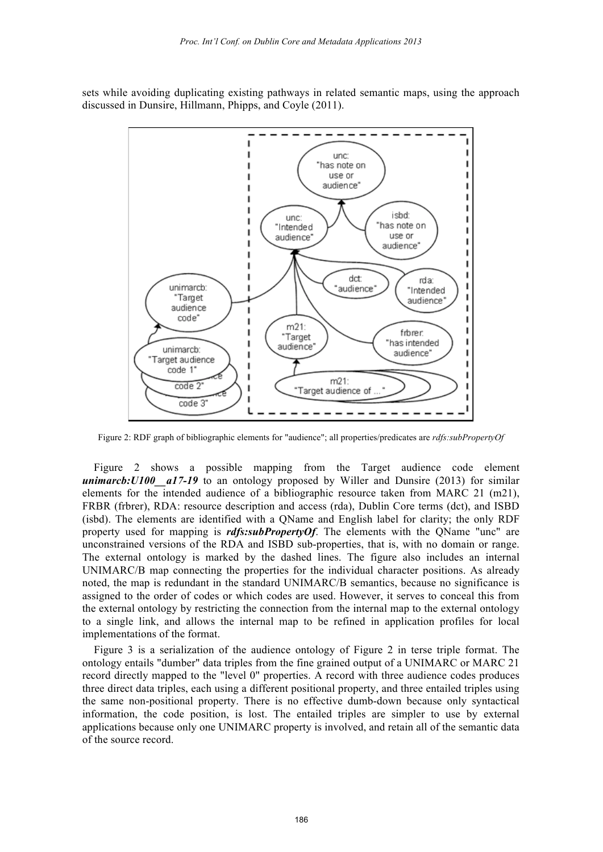sets while avoiding duplicating existing pathways in related semantic maps, using the approach discussed in Dunsire, Hillmann, Phipps, and Coyle (2011).



Figure 2: RDF graph of bibliographic elements for "audience"; all properties/predicates are *rdfs:subPropertyOf*

Figure 2 shows a possible mapping from the Target audience code element *unimarcb: U100 \_a17-19* to an ontology proposed by Willer and Dunsire (2013) for similar elements for the intended audience of a bibliographic resource taken from MARC 21 (m21), FRBR (frbrer), RDA: resource description and access (rda), Dublin Core terms (dct), and ISBD (isbd). The elements are identified with a QName and English label for clarity; the only RDF property used for mapping is *rdfs:subPropertyOf*. The elements with the QName "unc" are unconstrained versions of the RDA and ISBD sub-properties, that is, with no domain or range. The external ontology is marked by the dashed lines. The figure also includes an internal UNIMARC/B map connecting the properties for the individual character positions. As already noted, the map is redundant in the standard UNIMARC/B semantics, because no significance is assigned to the order of codes or which codes are used. However, it serves to conceal this from the external ontology by restricting the connection from the internal map to the external ontology to a single link, and allows the internal map to be refined in application profiles for local implementations of the format.

Figure 3 is a serialization of the audience ontology of Figure 2 in terse triple format. The ontology entails "dumber" data triples from the fine grained output of a UNIMARC or MARC 21 record directly mapped to the "level 0" properties. A record with three audience codes produces three direct data triples, each using a different positional property, and three entailed triples using the same non-positional property. There is no effective dumb-down because only syntactical information, the code position, is lost. The entailed triples are simpler to use by external applications because only one UNIMARC property is involved, and retain all of the semantic data of the source record.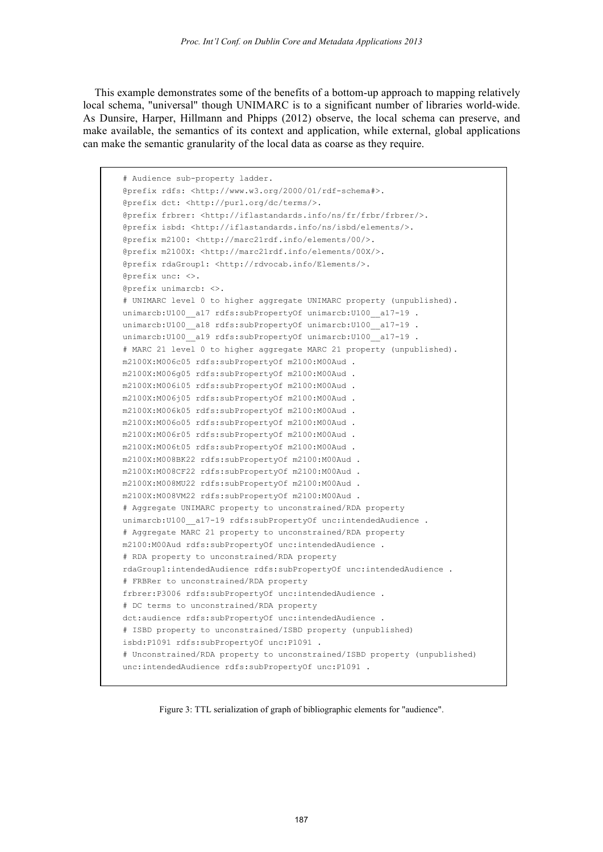This example demonstrates some of the benefits of a bottom-up approach to mapping relatively local schema, "universal" though UNIMARC is to a significant number of libraries world-wide. As Dunsire, Harper, Hillmann and Phipps (2012) observe, the local schema can preserve, and make available, the semantics of its context and application, while external, global applications can make the semantic granularity of the local data as coarse as they require.

```
# Audience sub-property ladder.
@prefix rdfs: <http://www.w3.org/2000/01/rdf-schema#>.
@prefix dct: <http://purl.org/dc/terms/>.
@prefix frbrer: <http://iflastandards.info/ns/fr/frbr/frbrer/>.
@prefix isbd: <http://iflastandards.info/ns/isbd/elements/>.
@prefix m2100: <http://marc21rdf.info/elements/00/>.
@prefix m2100X: <http://marc21rdf.info/elements/00X/>.
@prefix rdaGroup1: <http://rdvocab.info/Elements/>.
@prefix unc: <>.
@prefix unimarcb: <>.
# UNIMARC level 0 to higher aggregate UNIMARC property (unpublished).
unimarcb:U100__a17 rdfs:subPropertyOf unimarcb:U100__a17-19 .
unimarcb: U100_a18 rdfs: subPropertyOf unimarcb: U100_a17-19 .
unimarcb: U100 a19 rdfs: subPropertyOf unimarcb: U100 a17-19.
# MARC 21 level 0 to higher aggregate MARC 21 property (unpublished).
m2100X:M006c05 rdfs:subPropertyOf m2100:M00Aud .
m2100X:M006g05 rdfs:subPropertyOf m2100:M00Aud .
m2100X:M006i05 rdfs:subPropertyOf m2100:M00Aud .
m2100X:M006j05 rdfs:subPropertyOf m2100:M00Aud .
m2100X:M006k05 rdfs:subPropertyOf m2100:M00Aud .
m2100X:M006o05 rdfs:subPropertyOf m2100:M00Aud .
m2100X:M006r05 rdfs:subPropertyOf m2100:M00Aud .
m2100X:M006t05 rdfs:subPropertyOf m2100:M00Aud .
m2100X:M008BK22 rdfs:subPropertyOf m2100:M00Aud .
m2100X:M008CF22 rdfs:subPropertyOf m2100:M00Aud .
m2100X:M008MU22 rdfs:subPropertyOf m2100:M00Aud .
m2100X:M008VM22 rdfs:subPropertyOf m2100:M00Aud .
# Aggregate UNIMARC property to unconstrained/RDA property
unimarcb: U100 _a17-19 rdfs: subPropertyOf unc: intendedAudience .
# Aggregate MARC 21 property to unconstrained/RDA property
m2100:M00Aud rdfs:subPropertyOf unc:intendedAudience .
# RDA property to unconstrained/RDA property
rdaGroup1:intendedAudience rdfs:subPropertyOf unc:intendedAudience .
# FRBRer to unconstrained/RDA property
frbrer:P3006 rdfs:subPropertyOf unc:intendedAudience .
# DC terms to unconstrained/RDA property
dct:audience rdfs:subPropertyOf unc:intendedAudience .
# ISBD property to unconstrained/ISBD property (unpublished)
isbd:P1091 rdfs:subPropertyOf unc:P1091 .
# Unconstrained/RDA property to unconstrained/ISBD property (unpublished)
unc:intendedAudience rdfs:subPropertyOf unc:P1091 .
```
Figure 3: TTL serialization of graph of bibliographic elements for "audience".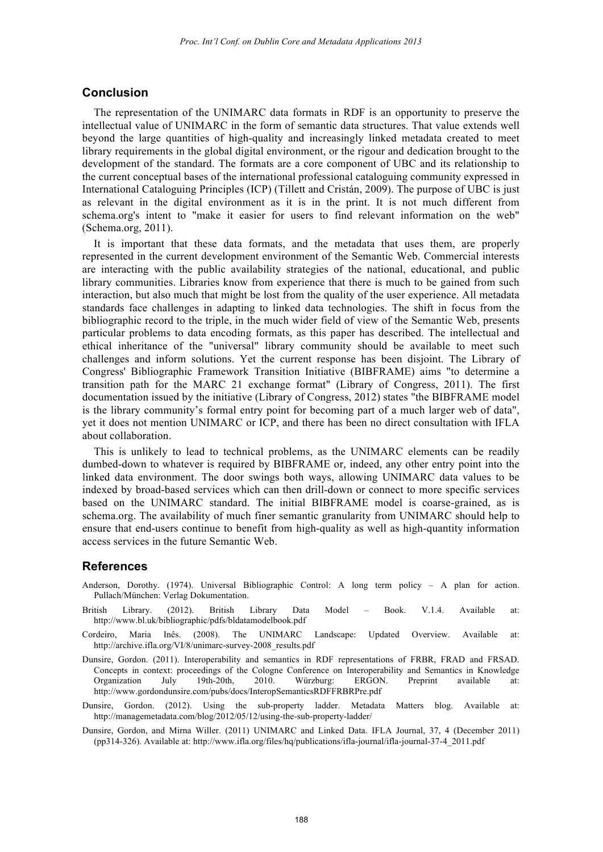## **Conclusion**

The representation of the UNIMARC data formats in RDF is an opportunity to preserve the intellectual value of UNIMARC in the form of semantic data structures. That value extends well beyond the large quantities of high-quality and increasingly linked metadata created to meet library requirements in the global digital environment, or the rigour and dedication brought to the development of the standard. The formats are a core component of UBC and its relationship to the current conceptual bases of the international professional cataloguing community expressed in International Cataloguing Principles (ICP) (Tillett and Cristán, 2009). The purpose of UBC is just as relevant in the digital environment as it is in the print. It is not much different from schema.org's intent to "make it easier for users to find relevant information on the web" (Schema.org, 2011).

It is important that these data formats, and the metadata that uses them, are properly represented in the current development environment of the Semantic Web. Commercial interests are interacting with the public availability strategies of the national, educational, and public library communities. Libraries know from experience that there is much to be gained from such interaction, but also much that might be lost from the quality of the user experience. All metadata standards face challenges in adapting to linked data technologies. The shift in focus from the bibliographic record to the triple, in the much wider field of view of the Semantic Web, presents particular problems to data encoding formats, as this paper has described. The intellectual and ethical inheritance of the "universal" library community should be available to meet such challenges and inform solutions. Yet the current response has been disjoint. The Library of Congress' Bibliographic Framework Transition Initiative (BIBFRAME) aims "to determine a transition path for the MARC 21 exchange format" (Library of Congress, 2011). The first documentation issued by the initiative (Library of Congress, 2012) states "the BIBFRAME model is the library community's formal entry point for becoming part of a much larger web of data", yet it does not mention UNIMARC or ICP, and there has been no direct consultation with IFLA about collaboration.

This is unlikely to lead to technical problems, as the UNIMARC elements can be readily dumbed-down to whatever is required by BIBFRAME or, indeed, any other entry point into the linked data environment. The door swings both ways, allowing UNIMARC data values to be indexed by broad-based services which can then drill-down or connect to more specific services based on the UNIMARC standard. The initial BIBFRAME model is coarse-grained, as is schema.org. The availability of much finer semantic granularity from UNIMARC should help to ensure that end-users continue to benefit from high-quality as well as high-quantity information access services in the future Semantic Web.

### **References**

- Anderson, Dorothy. (1974). Universal Bibliographic Control: A long term policy A plan for action. Pullach/München: Verlag Dokumentation.
- British Library. (2012). British Library Data Model Book. V.1.4. Available at: http://www.bl.uk/bibliographic/pdfs/bldatamodelbook.pdf
- Cordeiro, Maria Inês. (2008). The UNIMARC Landscape: Updated Overview. Available at: http://archive.ifla.org/VI/8/unimarc-survey-2008\_results.pdf
- Dunsire, Gordon. (2011). Interoperability and semantics in RDF representations of FRBR, FRAD and FRSAD. Concepts in context: proceedings of the Cologne Conference on Interoperability and Semantics in Knowledge Organization July 19th-20th, 2010. Würzburg: ERGON. Preprint available at: http://www.gordondunsire.com/pubs/docs/InteropSemanticsRDFFRBRPre.pdf
- Dunsire, Gordon. (2012). Using the sub-property ladder. Metadata Matters blog. Available at: http://managemetadata.com/blog/2012/05/12/using-the-sub-property-ladder/
- Dunsire, Gordon, and Mirna Willer. (2011) UNIMARC and Linked Data. IFLA Journal, 37, 4 (December 2011) (pp314-326). Available at: http://www.ifla.org/files/hq/publications/ifla-journal/ifla-journal-37-4\_2011.pdf